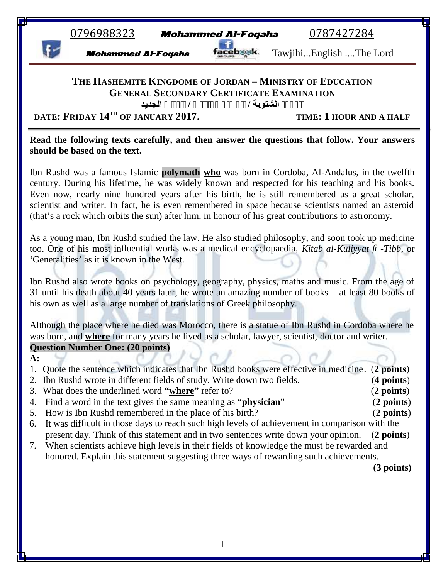| 0796988323<br><b>Mohammed Al-Foqaha</b>                                                                                                                                                                                                                                                                                                                                                                                                                                                                                                |                                      |
|----------------------------------------------------------------------------------------------------------------------------------------------------------------------------------------------------------------------------------------------------------------------------------------------------------------------------------------------------------------------------------------------------------------------------------------------------------------------------------------------------------------------------------------|--------------------------------------|
|                                                                                                                                                                                                                                                                                                                                                                                                                                                                                                                                        | 0787427284                           |
| <b>Mohammed Al-Foqaha</b>                                                                                                                                                                                                                                                                                                                                                                                                                                                                                                              | <u>TawjihiEnglish The Lord</u>       |
| THE HASHEMITE KINGDOME OF JORDAN - MINISTRY OF EDUCATION<br><b>GENERAL SECONDARY CERTIFICATE EXAMINATION</b><br>الجديد<br>DATE: FRIDAY 14TH OF JANUARY 2017.                                                                                                                                                                                                                                                                                                                                                                           | الشتوية /<br>TIME: 1 HOUR AND A HALF |
| Read the following texts carefully, and then answer the questions that follow. Your answers<br>should be based on the text.                                                                                                                                                                                                                                                                                                                                                                                                            |                                      |
| Ibn Rushd was a famous Islamic <b>polymath</b> who was born in Cordoba, Al-Andalus, in the twelfth<br>century. During his lifetime, he was widely known and respected for his teaching and his books.<br>Even now, nearly nine hundred years after his birth, he is still remembered as a great scholar,<br>scientist and writer. In fact, he is even remembered in space because scientists named an asteroid<br>(that's a rock which orbits the sun) after him, in honour of his great contributions to astronomy.                   |                                      |
| As a young man, Ibn Rushd studied the law. He also studied philosophy, and soon took up medicine<br>too. One of his most influential works was a medical encyclopaedia, Kitab al-Kuliyyat fi-Tibb, or<br>'Generalities' as it is known in the West.<br>Ibn Rushd also wrote books on psychology, geography, physics, maths and music. From the age of<br>31 until his death about 40 years later, he wrote an amazing number of books – at least 80 books of<br>his own as well as a large number of translations of Greek philosophy. |                                      |
|                                                                                                                                                                                                                                                                                                                                                                                                                                                                                                                                        |                                      |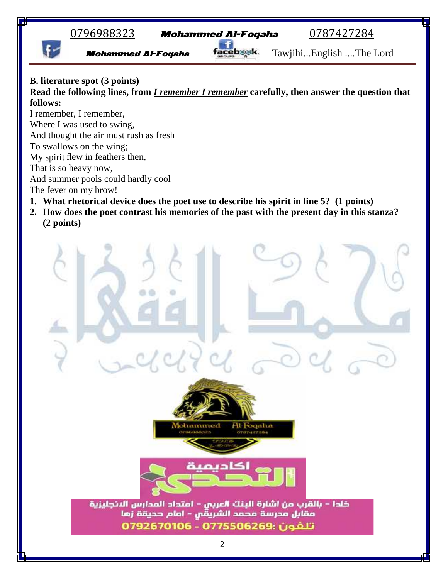

## **B. literature spot (3 points)**

**Read the following lines, from** *I remember I remember* **carefully, then answer the question that follows:**

I remember, I remember, Where I was used to swing, And thought the air must rush as fresh To swallows on the wing; My spirit flew in feathers then, That is so heavy now, And summer pools could hardly cool

The fever on my brow!

- **1. What rhetorical device does the poet use to describe his spirit in line 5? (1 points)**
- **2. How does the poet contrast his memories of the past with the present day in this stanza? (2 points)**

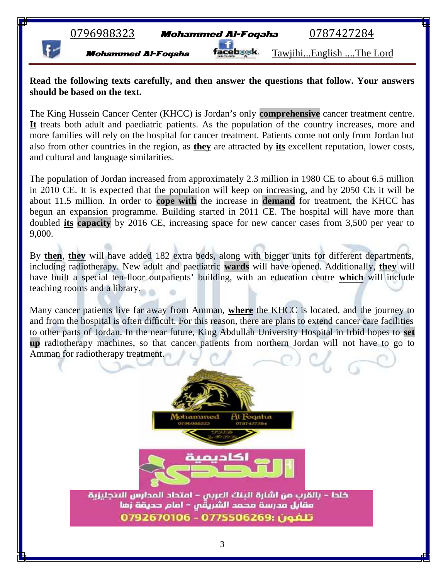## **Read the following texts carefully, and then answer the questions that follow. Your answers should be based on the text.**

The King Hussein Cancer Center (KHCC) is Jordan's only **comprehensive** cancer treatment centre. **It** treats both adult and paediatric patients. As the population of the country increases, more and more families will rely on the hospital for cancer treatment. Patients come not only from Jordan but also from other countries in the region, as **they** are attracted by **its** excellent reputation, lower costs, and cultural and language similarities.

The population of Jordan increased from approximately 2.3 million in 1980 CE to about 6.5 million in 2010 CE. It is expected that the population will keep on increasing, and by 2050 CE it will be about 11.5 million. In order to **cope with** the increase in **demand** for treatment, the KHCC has begun an expansion programme. Building started in 2011 CE. The hospital will have more than doubled **its capacity** by 2016 CE, increasing space for new cancer cases from 3,500 per year to 9,000.

By **then**, **they** will have added 182 extra beds, along with bigger units for different departments, including radiotherapy. New adult and paediatric **wards** will have opened. Additionally, **they** will have built a special ten-floor outpatients' building, with an education centre **which** will include teaching rooms and a library.

Many cancer patients live far away from Amman, **where** the KHCC is located, and the journey to and from the hospital is often difficult. For this reason, there are plans to extend cancer care facilities to other parts of Jordan. In the near future, King Abdullah University Hospital in Irbid hopes to **set up** radiotherapy machines, so that cancer patients from northern Jordan will not have to go to Amman for radiotherapy treatment.

hammed

At Fogaha

خلدا - بالقرب من اشارة البنك العربي - امتحاد المدارس البنجليزية مقابل مدرسة محمد الشريقِّ – امام حديقة زما تلفون :0775506269 - 0792670106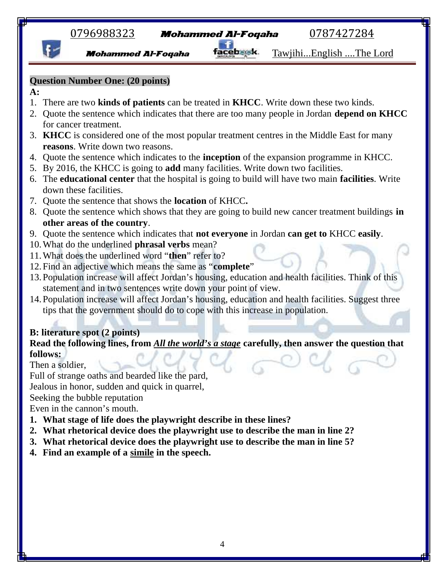0796988323 **Mohammed Al-Foqaha** 0787427284

Mohammed Al-Foqaha facebsek. Tawjihi...English ....The Lord

# **Question Number One: (20 points)**

## **A:**

- 1. There are two **kinds of patients** can be treated in **KHCC**. Write down these two kinds.
- 2. Quote the sentence which indicates that there are too many people in Jordan **depend on KHCC** for cancer treatment.
- 3. **KHCC** is considered one of the most popular treatment centres in the Middle East for many **reasons**. Write down two reasons.
- 4. Quote the sentence which indicates to the **inception** of the expansion programme in KHCC.
- 5. By 2016, the KHCC is going to **add** many facilities. Write down two facilities.
- 6. The **educational center** that the hospital is going to build will have two main **facilities**. Write down these facilities.
- 7. Quote the sentence that shows the **location** of KHCC**.**
- 8. Quote the sentence which shows that they are going to build new cancer treatment buildings **in other areas of the country**.
- 9. Quote the sentence which indicates that **not everyone** in Jordan **can get to** KHCC **easily**.
- 10.What do the underlined **phrasal verbs** mean?
- 11.What does the underlined word "**then**" refer to?
- 12. Find an adjective which means the same as "**complete**"
- 13. Population increase will affect Jordan's housing, education and health facilities. Think of this statement and in two sentences write down your point of view.
- 14. Population increase will affect Jordan's housing, education and health facilities. Suggest three tips that the government should do to cope with this increase in population.

# **B: literature spot (2 points)**

# **Read the following lines, from** *All the world's a stage* **carefully, then answer the question that follows:**

Then a soldier,

Full of strange oaths and bearded like the pard,

Jealous in honor, sudden and quick in quarrel,

Seeking the bubble reputation

Even in the cannon's mouth.

- **1. What stage of life does the playwright describe in these lines?**
- **2. What rhetorical device does the playwright use to describe the man in line 2?**
- **3. What rhetorical device does the playwright use to describe the man in line 5?**
- **4. Find an example of a simile in the speech.**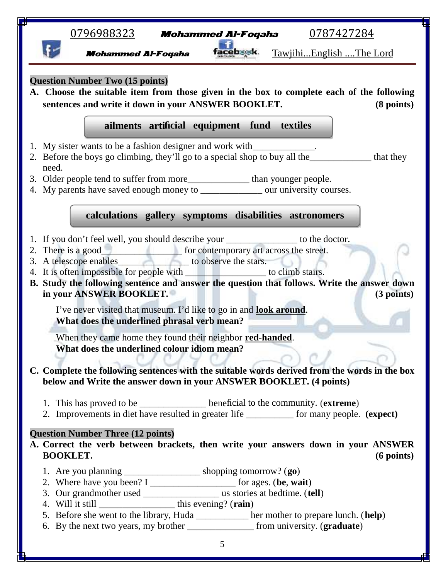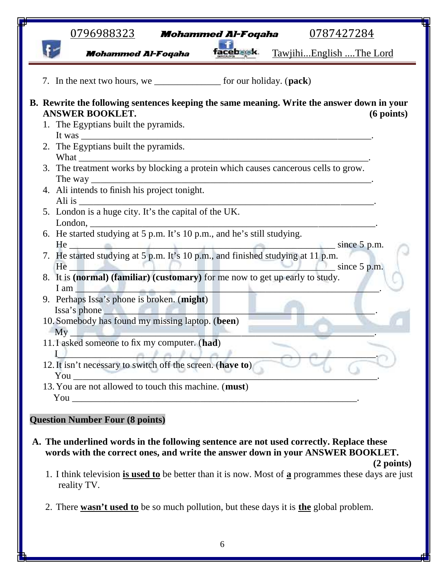| <b>cebaak</b><br>TawjihiEnglish The Lord<br><b>Mohammed Al-Foqaha</b><br>7. In the next two hours, we __________________ for our holiday. (pack)<br>B. Rewrite the following sentences keeping the same meaning. Write the answer down in your<br><b>ANSWER BOOKLET.</b><br>$(6$ points)<br>1. The Egyptians built the pyramids.<br>2. The Egyptians built the pyramids.<br>4. Ali intends to finish his project tonight.<br>London,<br>6. He started studying at 5 p.m. It's 10 p.m., and he's still studying.<br>He<br>since $5$ p.m.<br>8. It is (normal) (familiar) (customary) for me now to get up early to study.<br>I am<br>9. Perhaps Issa's phone is broken. (might) |
|--------------------------------------------------------------------------------------------------------------------------------------------------------------------------------------------------------------------------------------------------------------------------------------------------------------------------------------------------------------------------------------------------------------------------------------------------------------------------------------------------------------------------------------------------------------------------------------------------------------------------------------------------------------------------------|
|                                                                                                                                                                                                                                                                                                                                                                                                                                                                                                                                                                                                                                                                                |
|                                                                                                                                                                                                                                                                                                                                                                                                                                                                                                                                                                                                                                                                                |
|                                                                                                                                                                                                                                                                                                                                                                                                                                                                                                                                                                                                                                                                                |
|                                                                                                                                                                                                                                                                                                                                                                                                                                                                                                                                                                                                                                                                                |
|                                                                                                                                                                                                                                                                                                                                                                                                                                                                                                                                                                                                                                                                                |
|                                                                                                                                                                                                                                                                                                                                                                                                                                                                                                                                                                                                                                                                                |
|                                                                                                                                                                                                                                                                                                                                                                                                                                                                                                                                                                                                                                                                                |
|                                                                                                                                                                                                                                                                                                                                                                                                                                                                                                                                                                                                                                                                                |
|                                                                                                                                                                                                                                                                                                                                                                                                                                                                                                                                                                                                                                                                                |
|                                                                                                                                                                                                                                                                                                                                                                                                                                                                                                                                                                                                                                                                                |
|                                                                                                                                                                                                                                                                                                                                                                                                                                                                                                                                                                                                                                                                                |
| Issa's phone                                                                                                                                                                                                                                                                                                                                                                                                                                                                                                                                                                                                                                                                   |
| 10. Somebody has found my missing laptop. (been)<br>My                                                                                                                                                                                                                                                                                                                                                                                                                                                                                                                                                                                                                         |
| 11. I asked someone to fix my computer. (had)                                                                                                                                                                                                                                                                                                                                                                                                                                                                                                                                                                                                                                  |
| 12. It isn't necessary to switch off the screen. (have to)<br>You<br>the control of the control of the                                                                                                                                                                                                                                                                                                                                                                                                                                                                                                                                                                         |
| 13. You are not allowed to touch this machine. (must)<br>You are not the contract of the contract of the contract of the contract of the contract of the contract of the contract of the contract of the contract of the contract of the contract of the contract of the contract of th                                                                                                                                                                                                                                                                                                                                                                                        |

## **Question Number Four (8 points)**

- **A. The underlined words in the following sentence are not used correctly. Replace these words with the correct ones, and write the answer down in your ANSWER BOOKLET.**
	- 1. I think television **is used to** be better than it is now. Most of **a** programmes these days are just reality TV.

**(2 points)**

2. There **wasn't used to** be so much pollution, but these days it is **the** global problem.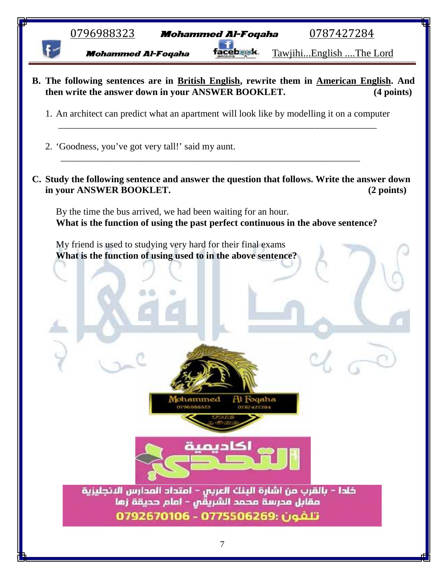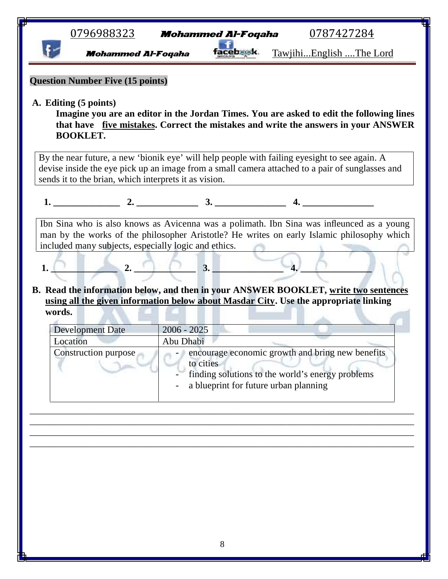| acepma<br><u>TawjihiEnglish The Lord</u><br><b>Mohammed Al-Foqaha</b><br>Imagine you are an editor in the Jordan Times. You are asked to edit the following lines<br>that have five mistakes. Correct the mistakes and write the answers in your ANSWER<br><b>BOOKLET.</b><br>By the near future, a new 'bionik eye' will help people with failing eyesight to see again. A<br>devise inside the eye pick up an image from a small camera attached to a pair of sunglasses and<br>sends it to the brian, which interprets it as vision.<br>1. $2.$ 3.<br>$\mathbf{4}$ .<br>Ibn Sina who is also knows as Avicenna was a polimath. Ibn Sina was infleunced as a young<br>man by the works of the philosopher Aristotle? He writes on early Islamic philosophy which<br>included many subjects, especially logic and ethics.<br>$\overline{4}$ .<br>2.<br>3.<br>1.<br>using all the given information below about Masdar City. Use the appropriate linking<br>words. |  |
|--------------------------------------------------------------------------------------------------------------------------------------------------------------------------------------------------------------------------------------------------------------------------------------------------------------------------------------------------------------------------------------------------------------------------------------------------------------------------------------------------------------------------------------------------------------------------------------------------------------------------------------------------------------------------------------------------------------------------------------------------------------------------------------------------------------------------------------------------------------------------------------------------------------------------------------------------------------------|--|
| <b>Question Number Five (15 points)</b>                                                                                                                                                                                                                                                                                                                                                                                                                                                                                                                                                                                                                                                                                                                                                                                                                                                                                                                            |  |
| A. Editing (5 points)<br>B. Read the information below, and then in your ANSWER BOOKLET, write two sentences                                                                                                                                                                                                                                                                                                                                                                                                                                                                                                                                                                                                                                                                                                                                                                                                                                                       |  |
|                                                                                                                                                                                                                                                                                                                                                                                                                                                                                                                                                                                                                                                                                                                                                                                                                                                                                                                                                                    |  |
|                                                                                                                                                                                                                                                                                                                                                                                                                                                                                                                                                                                                                                                                                                                                                                                                                                                                                                                                                                    |  |
|                                                                                                                                                                                                                                                                                                                                                                                                                                                                                                                                                                                                                                                                                                                                                                                                                                                                                                                                                                    |  |
|                                                                                                                                                                                                                                                                                                                                                                                                                                                                                                                                                                                                                                                                                                                                                                                                                                                                                                                                                                    |  |
| <b>Development Date</b><br>$2006 - 2025$                                                                                                                                                                                                                                                                                                                                                                                                                                                                                                                                                                                                                                                                                                                                                                                                                                                                                                                           |  |
| Location<br>Abu Dhabi<br>encourage economic growth and bring new benefits<br>Construction purpose<br>to cities<br>finding solutions to the world's energy problems<br>a blueprint for future urban planning                                                                                                                                                                                                                                                                                                                                                                                                                                                                                                                                                                                                                                                                                                                                                        |  |

I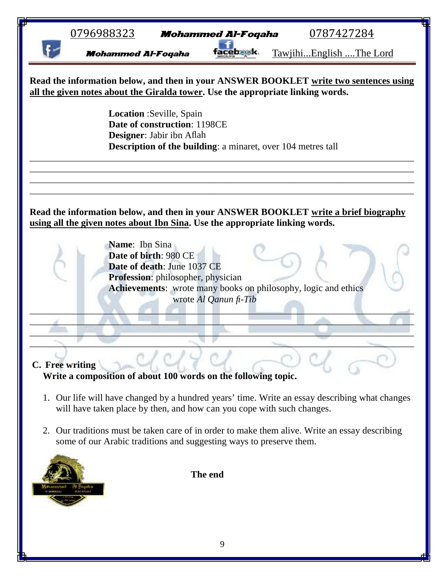|                 | <u>0796988323</u>                                                                              |                                                                                               | <b>Mohammed Al-Foqaha</b> | 0787427284                                                                                                                                                               |  |
|-----------------|------------------------------------------------------------------------------------------------|-----------------------------------------------------------------------------------------------|---------------------------|--------------------------------------------------------------------------------------------------------------------------------------------------------------------------|--|
|                 | <b>Mohammed Al-Foqaha</b>                                                                      |                                                                                               |                           | TawjihiEnglish The Lord                                                                                                                                                  |  |
|                 |                                                                                                |                                                                                               |                           | Read the information below, and then in your ANSWER BOOKLET write two sentences using<br>all the given notes about the Giralda tower. Use the appropriate linking words. |  |
|                 |                                                                                                | <b>Location</b> : Seville, Spain<br>Date of construction: 1198CE<br>Designer: Jabir ibn Aflah |                           | <b>Description of the building:</b> a minaret, over 104 metres tall                                                                                                      |  |
|                 | using all the given notes about Ibn Sina. Use the appropriate linking words.<br>Name: Ibn Sina | Date of birth: 980 CE<br>Date of death: June 1037 CE<br>Profession: philosopher, physician    | wrote Al Qanun fi-Tib     | Read the information below, and then in your ANSWER BOOKLET write a brief biography<br>Achievements: wrote many books on philosophy, logic and ethics                    |  |
| C. Free writing | Write a composition of about 100 words on the following topic.                                 |                                                                                               |                           |                                                                                                                                                                          |  |
|                 | will have taken place by then, and how can you cope with such changes.                         |                                                                                               |                           | 1. Our life will have changed by a hundred years' time. Write an essay describing what changes                                                                           |  |
|                 | some of our Arabic traditions and suggesting ways to preserve them.                            |                                                                                               |                           | 2. Our traditions must be taken care of in order to make them alive. Write an essay describing                                                                           |  |
|                 |                                                                                                | The end                                                                                       |                           |                                                                                                                                                                          |  |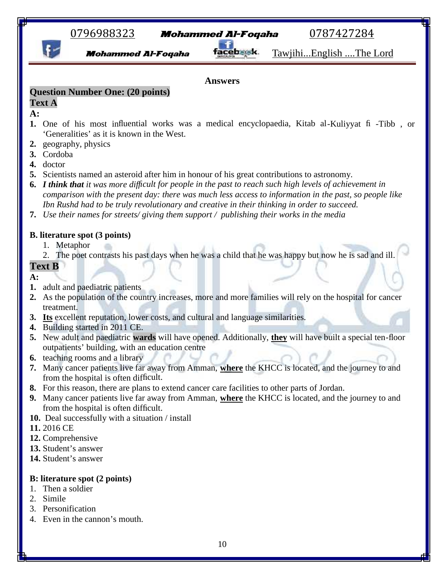# 0796988323 **Mohammed Al-Foqaha** 0787427284

**Mohammed Al-Foqaha Tacebask** Tawjihi...English ....The Lord

#### **Answers**

## **Question Number One: (20 points)**

#### **Text A**

## **A:**

- **1.** One of his most influential works was a medical encyclopaedia, Kitab al-Kuliyyat fi -Tibb , or 'Generalities' as it is known in the West.
- **2.** geography, physics
- **3.** Cordoba
- **4.** doctor
- **5.** Scientists named an asteroid after him in honour of his great contributions to astronomy.
- **6.** *I think that it was more difficult for people in the past to reach such high levels of achievement in comparison with the present day: there was much less access to information in the past, so people like Ibn Rushd had to be truly revolutionary and creative in their thinking in order to succeed.*
- **7.** *Use their names for streets/ giving them support / publishing their works in the media*

### **B. literature spot (3 points)**

- 1. Metaphor
- 2. The poet contrasts his past days when he was a child that he was happy but now he is sad and ill.

# **Text B**

#### **A:**

- **1.** adult and paediatric patients
- **2.** As the population of the country increases, more and more families will rely on the hospital for cancer treatment.
- **3. Its** excellent reputation, lower costs, and cultural and language similarities.
- **4.** Building started in 2011 CE.
- **5.** New adult and paediatric **wards** will have opened. Additionally, **they** will have built a special ten-floor outpatients' building, with an education centre
- **6.** teaching rooms and a library
- **7.** Many cancer patients live far away from Amman, **where** the KHCC is located, and the journey to and from the hospital is often difficult.
- **8.** For this reason, there are plans to extend cancer care facilities to other parts of Jordan.
- **9.** Many cancer patients live far away from Amman, **where** the KHCC is located, and the journey to and from the hospital is often difficult.
- **10.** Deal successfully with a situation / install
- **11.** 2016 CE
- **12.** Comprehensive
- **13.** Student's answer
- **14.** Student's answer

### **B: literature spot (2 points)**

- 1. Then a soldier
- 2. Simile
- 3. Personification
- 4. Even in the cannon's mouth.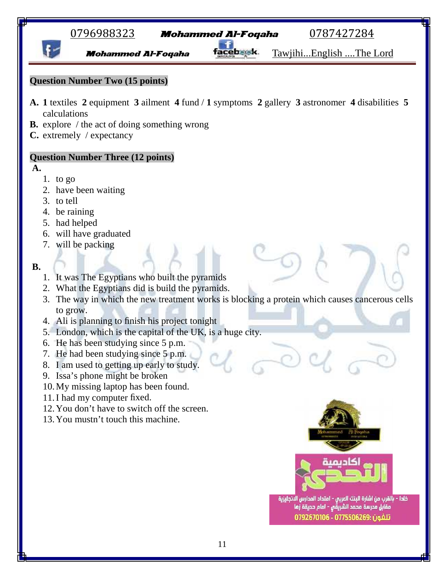# 0796988323 Mohammed Al-Foqaha 0787427284

**Mohammed Al-Foqaha facebask** Tawjihi...English ....The Lord

# **Question Number Two (15 points)**

- **A. 1** textiles **2** equipment **3** ailment **4** fund / **1** symptoms **2** gallery **3** astronomer **4** disabilities **5** calculations
- **B.** explore / the act of doing something wrong
- **C.** extremely / expectancy

# **Question Number Three (12 points)**

**A.**

- 1. to go
- 2. have been waiting
- 3. to tell
- 4. be raining
- 5. had helped
- 6. will have graduated
- 7. will be packing

#### **B.**

- 1. It was The Egyptians who built the pyramids
- 2. What the Egyptians did is build the pyramids.
- 3. The way in which the new treatment works is blocking a protein which causes cancerous cells to grow.
- 4. Ali is planning to finish his project tonight
- 5. London, which is the capital of the UK, is a huge city.
- 6. He has been studying since 5 p.m.
- 7. He had been studying since 5 p.m.
- 8. I am used to getting up early to study.
- 9. Issa's phone might be broken
- 10.My missing laptop has been found.
- 11.I had my computer fixed.
- 12.You don't have to switch off the screen.
- 13.You mustn't touch this machine.





خلدا - بالقرب من اشارة البنك العربى - امتداد المدارس الانجليزية مقابل مدرسة محمد الشريقِّ - امام حديقة زها تلفون :0775506269 - 0792670106